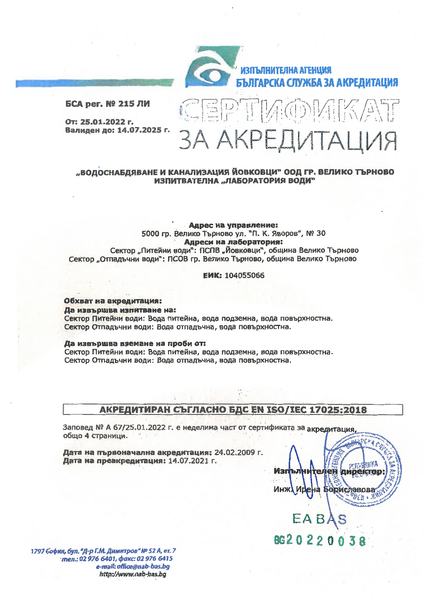

CEPTMODMIKAT

ЗА АКРЕДИТАЦИЯ

БСА рег. № 215 ЛИ

От: 25.01.2022 г. Валиден до: 14.07.2025 г.

# "ВОДОСНАБДЯВАНЕ И КАНАЛИЗАЦИЯ ЙОВКОВЦИ" ООД ГР. ВЕЛИКО ТЪРНОВО ИЗПИТВАТЕЛНА "ЛАБОРАТОРИЯ ВОДИ"

### Адрес на управление: 5000 гр. Велико Търново ул. "П. К. Яворов", № 30 Адреси на лаборатория: Сектор "Питейни води": ПСПВ "Йовковци", община Велико Търново Сектор "Отпадъчни води": ПСОВ гр. Велико Търново, община Велико Търново

### **ЕИК: 104055066**

Обхват на акредитация: Да извършва изпитване на: Сектор Питейни води: Вода питейна, вода подземна, вода повърхностна. Сектор Отпадъчни води: Вода отпадъчна, вода повърхностна.

#### Да извършва вземане на проби от:

Сектор Питейни води: Вода питейна, вода подземна, вода повърхностна. Сектор Отпадъчни води: Вода отпадъчна, вода повърхностна.

# АКРЕДИТИРАН СЪГЛАСНО БДС EN ISO/IEC 17025:2018

Заповед № А 67/25.01.2022 г. е неделима част от сертификата за акредитация общо 4 страници.

Дата на първоначална акредитация; 24.02.2009 г. Дата на преакредитация: 14.07.2021 г.

1797 София, бул. "Д-р Г.М. Димитров" № 52 А, ет. 7 тел.: 02 976 6401, факс: 02 976 6415 e-mail: office@nab-bas.bg http://www.nab-bas.bg

**PEKA** Изп *ipektel* renen m novr

8620220038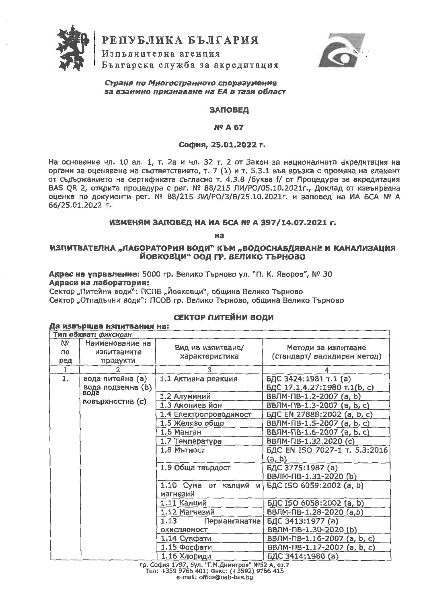

РЕПУБЛИКА БЪЛГАРИЯ

Изпълнителна агенция Българска служба за акредитация



Страна по Многостранното споразумение за взаимно признаване на ЕА в тази област

#### **ЗАПОВЕД**

#### **Nº A 67**

### София. 25.01.2022 г.

На основание чл. 10 ал. 1, т. 2а и чл. 32 т. 2 от Закон за националната акредитация на органи за оценяване на съответствието, т. 7 (1) и т. 5.3.1 във връзка с промяна на елемент от съдържанието на сертификата съгласно т. 4.3.8 /буква f/ от Процедура за акрелитация BAS QR 2, открита процедура с рег. № 88/215 ЛИ/РО/05.10.2021г., Доклад от извънредна оценка по документи рег. № 88/215 ЛИ/РО/3/В/25.10.2021г. и заповед на ИА БСА № А 66/25.01.2022 r.

## ИЗМЕНЯМ ЗАПОВЕД НА ИА БСА № А 397/14.07.2021 г.

на

# ИЗПИТВАТЕЛНА "ЛАБОРАТОРИЯ ВОДИ" КЪМ "ВОДОСНАБДЯВАНЕ И КАНАЛИЗАЦИЯ ЙОВКОВЦИ" ООД ГР. ВЕЛИКО ТЪРНОВО

Адрес на управление: 5000 гр. Велико Търново ул. "П. К. Яворов", № 30 Адреси на лаборатория:

Да извършва изпитвания на:

Сектор "Питейни води": ПСПВ "Йовковци", община Велико Търново Сектор "Отпадъчни води"; ПСОВ гр. Велико Търново, община Велико Търново

# СЕКТОР ПИТЕЙНИ ВОДИ

| Тип обхват: фиксиран |                                               |                                      |                                                       |
|----------------------|-----------------------------------------------|--------------------------------------|-------------------------------------------------------|
| Nº<br>по<br>ред      | Наименование на<br>изпитваните<br>продукти    | Вид на изпитване/<br>характеристика  | Методи за изпитване<br>(стандарт/ валидиран метод)    |
| 1                    |                                               | 3                                    |                                                       |
| 1.                   | вода питейна (а)<br>вода подземна (b)<br>вода | 1.1 Активна реакция                  | БДС 3424:1981 т.1 (а)<br>БДС 17.1.4.27:1980 т.1(b, c) |
|                      |                                               | 1.2 Алуминий                         | ВВЛМ-ПВ-1.2-2007 (a, b)                               |
|                      | повърхностна (с)                              | 1.3 Амониев йон                      | ВВЛМ-ПВ-1.3-2007 (a, b, c)                            |
|                      |                                               | 1.4 Електропроводимост               | БДС EN 27888:2002 (a, b, c)                           |
|                      |                                               | 1.5 Желязо общо                      | ВВЛМ-ПВ-1.5-2007 (a, b, c)                            |
|                      |                                               | 1.6 Манган                           | ВВЛМ-ПВ-1.6-2007 (а, b, c)                            |
|                      |                                               | 1.7 Температура                      | ВВЛМ-ПВ-1.32.2020 (с)                                 |
|                      |                                               | $1.8$ Mb $H$ <sub>DCT</sub>          | БДС EN ISO 7027-1 т. 5.3:2016<br>(a, b)               |
|                      |                                               | 1.9 Обща твърдост                    | БДС 3775:1987 (а)<br>ВВЛМ-ПВ-1.31-2020 (b)            |
|                      |                                               | 1.10 Сума от калций<br>и<br>магнезий | БДС ISO 6059:2002 (a, b)                              |
|                      |                                               | 1.11 Калций                          | БДС ISO 6058:2002 (a, b)                              |
|                      |                                               | 1.12 Магнезий                        | ВВЛМ-ПВ-1.28-2020 (a,b)                               |
|                      |                                               | 1.13<br>Перманганатна                | БДС 3413:1977 (a)                                     |
|                      |                                               | окисляемост                          | ВВЛМ-ПВ-1.30-2020 (b)                                 |
|                      |                                               | 1.14 Сулфати                         | ВВЛМ-ПВ-1.16-2007 (а, b, c)                           |
|                      |                                               | 1.15 Фосфати                         | ВВЛМ-ПВ-1.17-2007 (a, b, c)                           |
|                      |                                               | 1.16 Хлориди                         | БДС 3414:1980 (а)                                     |

гр. София 1797, бул. "Г.М.Димитров" №52 А, ет.7<br>Тел: +359 9766 401; Факс: (+3592) 9766 415 e-mail: office@nab-bas.bg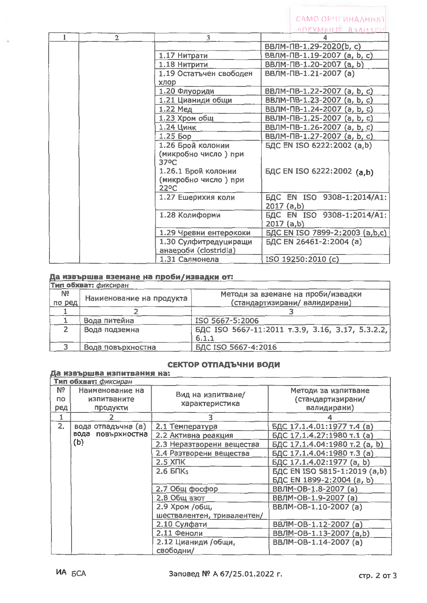|                |                                           | AOFVMERTE BAAMASH                        |
|----------------|-------------------------------------------|------------------------------------------|
| $\overline{2}$ | $\overline{3}$                            |                                          |
|                |                                           | ВВЛМ-ПВ-1.29-2020(b, c)                  |
|                | 1.17 Нитрати                              | ВВЛМ-ПВ-1.19-2007 (a, b, c)              |
|                | 1.18 Нитрити                              | ВВЛМ-ПВ-1.20-2007 (a, b)                 |
|                | 1.19 Остатъчен свободен                   | ВВЛМ-ПВ-1.21-2007 (а)                    |
|                | хлор                                      |                                          |
|                | 1.20 Флуориди                             | ВВЛМ-ПВ-1.22-2007 (a, b, c)              |
|                | 1.21 Цианиди общи                         | ВВЛМ-ПВ-1.23-2007 (a, b, c)              |
|                | 1.22 Мед                                  | ВВЛМ-ПВ-1.24-2007 (a, b, c)              |
|                | 1.23 Хром общ                             | ВВЛМ-ПВ-1.25-2007 (a, b, c)              |
|                | 1.24 Цинк                                 | ВВЛМ-ПВ-1.26-2007 (a, b, c)              |
|                | $1.25$ bop                                | ВВЛМ-ПВ-1.27-2007 (a, b, c)              |
|                | 1.26 Брой колонии                         | БДС EN ISO 6222:2002 (a,b)               |
|                | (микробно число) при<br>37°C              |                                          |
|                | 1.26.1 Брой колонии                       | БДС EN ISO 6222:2002 (a,b)               |
|                | (микробно число) при<br>22 <sup>o</sup> C |                                          |
|                | 1.27 Ешерихия коли                        | БДС EN ISO 9308-1:2014/A1:<br>2017 (a,b) |
|                | 1.28 Колиформи                            | БДС EN ISO 9308-1:2014/A1:<br>2017 (a,b) |
|                | 1.29 Чревни ентерококи                    | БДС EN ISO 7899-2:2003 (a,b,c)           |
|                | 1.30 Сулфитредуциращи                     | БДС EN 26461-2:2004 (a)                  |
|                | анаероби (clostridia)                     |                                          |
|                | 1.31 Салмонела                            | ISO 19250:2010 (c)                       |

CAMO OPMEMHAAHM8T

# Да извършва вземане на проби/извадки от:

| Тип обхват: фиксиран |                          |                                                  |  |
|----------------------|--------------------------|--------------------------------------------------|--|
| N9                   |                          | Методи за вземане на проби/извадки               |  |
| по ред               | Наименование на продукта | (стандартизирани/ валидирани)                    |  |
|                      |                          |                                                  |  |
|                      | Вода питейна             | ISO 5667-5:2006                                  |  |
|                      | Вода подземна            | БДС ISO 5667-11:2011 т.3.9, 3.16, 3.17, 5.3.2.2, |  |
|                      |                          | 6.1.1                                            |  |
|                      | Вода повърхностна        | БДС ISO 5667-4:2016                              |  |

# СЕКТОР ОТПАДЪЧНИ ВОДИ

# Да извършва изпитвания на:

|                        | <b>Тип обхват:</b> фиксиран                |                                     |                                                         |  |
|------------------------|--------------------------------------------|-------------------------------------|---------------------------------------------------------|--|
| Nº<br><b>no</b><br>ред | Наименование на<br>изпитваните<br>продукти | Вид на изпитване/<br>характеристика | Методи за изпитване<br>(стандартизирани/<br>валидирани) |  |
|                        |                                            | З                                   |                                                         |  |
| 2.                     | вода отпадъчна (а)                         | 2.1 Температура                     | БДС 17.1.4.01:1977 т.4 (а)                              |  |
|                        | вода<br>повърхностна                       | 2.2 Активна реакция                 | БДС 17.1.4.27:1980 т.1 (а)                              |  |
|                        | (b)                                        | 2.3 Неразтворени вещества           | БДС 17.1.4.04:1980 т.2 (a, b)                           |  |
|                        |                                            | 2.4 Разтворени вещества             | БДС 17.1.4.04:1980 т.3 (а)                              |  |
|                        |                                            | <b>2.5 XRK</b>                      | БДС 17.1.4.02:1977 (a, b)                               |  |
|                        |                                            | $2.6$ BNK <sub>5</sub>              | БДС EN ISO 5815-1:2019 (a,b)                            |  |
|                        |                                            |                                     | БДС EN 1899-2:2004 (a, b)                               |  |
|                        |                                            | 2.7 Общ фосфор                      | ВВЛМ-ОВ-1.8-2007 (а)                                    |  |
|                        |                                            | 2.8 Общ азот                        | ВВЛМ-ОВ-1.9-2007 (а)                                    |  |
|                        |                                            | 2.9 Хром /общ,                      | ВВЛМ-ОВ-1.10-2007 (а)                                   |  |
|                        |                                            | шествалентен, тривалентен/          |                                                         |  |
|                        |                                            | 2.10 Сулфати                        | ВВЛМ-ОВ-1.12-2007 (а)                                   |  |
|                        |                                            | 2.11 Феноли                         | ВВЛМ-ОВ-1.13-2007 (a,b)                                 |  |
|                        |                                            | 2.12 Цианиди /общи,<br>свободни/    | ВВЛМ-ОВ-1.14-2007 (а)                                   |  |